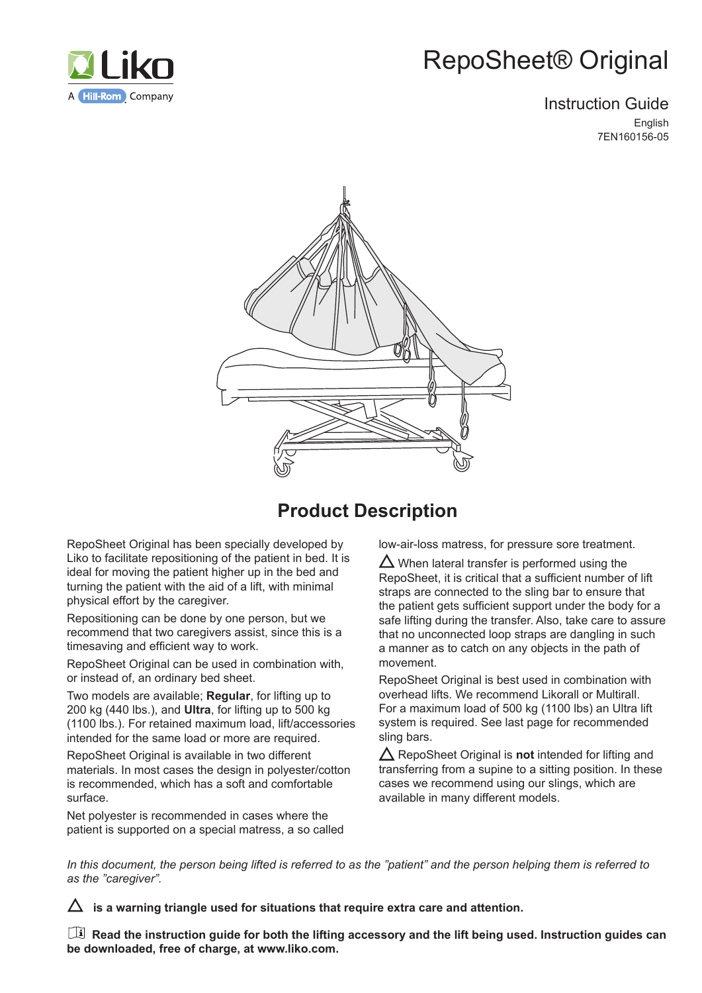

# RepoSheet® Original

### Instruction Guide English 7EN160156-05



# **Product Description**

RepoSheet Original has been specially developed by Liko to facilitate repositioning of the patient in bed. It is ideal for moving the patient higher up in the bed and turning the patient with the aid of a lift, with minimal physical effort by the caregiver.

Repositioning can be done by one person, but we recommend that two caregivers assist, since this is a timesaving and efficient way to work.

RepoSheet Original can be used in combination with, or instead of, an ordinary bed sheet.

Two models are available; **Regular**, for lifting up to 200 kg (440 lbs.), and **Ultra**, for lifting up to 500 kg (1100 lbs.). For retained maximum load, lift/accessories intended for the same load or more are required.

RepoSheet Original is available in two different materials. In most cases the design in polyester/cotton is recommended, which has a soft and comfortable surface.

Net polyester is recommended in cases where the patient is supported on a special matress, a so called low-air-loss matress, for pressure sore treatment.

 $\Delta$  When lateral transfer is performed using the RepoSheet, it is critical that a sufficient number of lift straps are connected to the sling bar to ensure that the patient gets sufficient support under the body for a safe lifting during the transfer. Also, take care to assure that no unconnected loop straps are dangling in such a manner as to catch on any objects in the path of movement.

RepoSheet Original is best used in combination with overhead lifts. We recommend Likorall or Multirall. For a maximum load of 500 kg (1100 lbs) an Ultra lift system is required. See last page for recommended sling bars.

 $\triangle$  RepoSheet Original is **not** intended for lifting and transferring from a supine to a sitting position. In these cases we recommend using our slings, which are available in many different models.

*In this document, the person being lifted is referred to as the "patient" and the person helping them is referred to as the "caregiver".* 

 $\Delta\;$  is a warning triangle used for situations that require extra care and attention.

 **Read the instruction guide for both the lifting accessory and the lift being used. Instruction guides can be downloaded, free of charge, at www.liko.com.**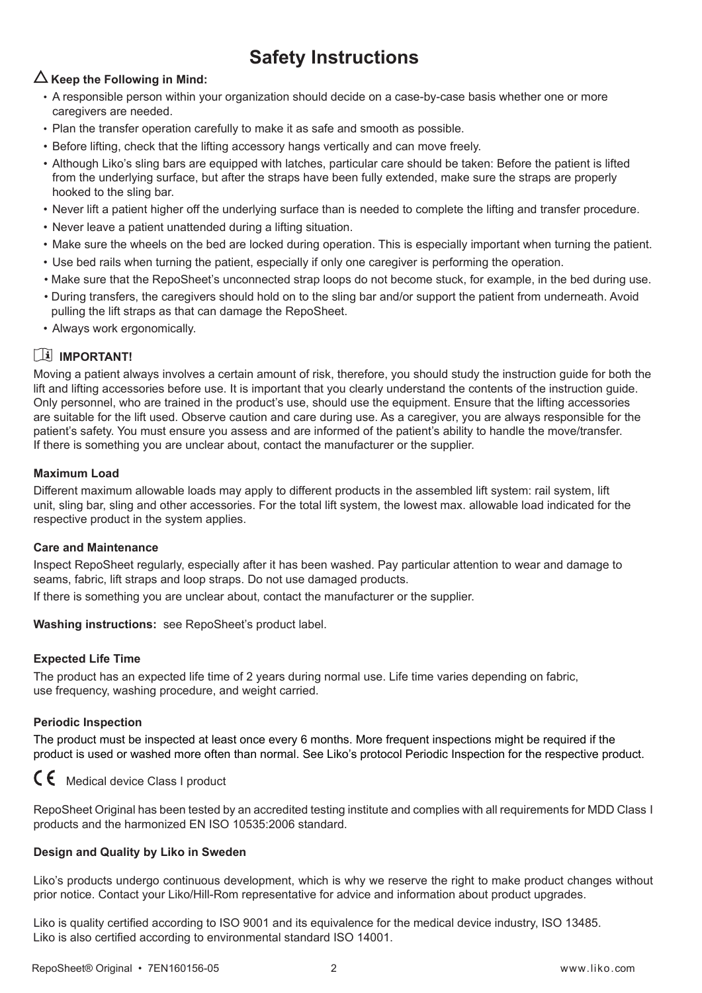# **Safety Instructions**

### $\Delta$  Keep the Following in Mind:

- A responsible person within your organization should decide on a case-by-case basis whether one or more caregivers are needed.
- Plan the transfer operation carefully to make it as safe and smooth as possible.
- Before lifting, check that the lifting accessory hangs vertically and can move freely.
- Although Liko's sling bars are equipped with latches, particular care should be taken: Before the patient is lifted from the underlying surface, but after the straps have been fully extended, make sure the straps are properly hooked to the sling bar.
- Never lift a patient higher off the underlying surface than is needed to complete the lifting and transfer procedure.
- Never leave a patient unattended during a lifting situation.
- Make sure the wheels on the bed are locked during operation. This is especially important when turning the patient.
- Use bed rails when turning the patient, especially if only one caregiver is performing the operation.
- Make sure that the RepoSheet's unconnected strap loops do not become stuck, for example, in the bed during use.
- During transfers, the caregivers should hold on to the sling bar and/or support the patient from underneath. Avoid pulling the lift straps as that can damage the RepoSheet.
- Always work ergonomically.

### **IMPORTANT!**

Moving a patient always involves a certain amount of risk, therefore, you should study the instruction guide for both the lift and lifting accessories before use. It is important that you clearly understand the contents of the instruction guide. Only personnel, who are trained in the product's use, should use the equipment. Ensure that the lifting accessories are suitable for the lift used. Observe caution and care during use. As a caregiver, you are always responsible for the patient's safety. You must ensure you assess and are informed of the patient's ability to handle the move/transfer. If there is something you are unclear about, contact the manufacturer or the supplier.

#### **Maximum Load**

Different maximum allowable loads may apply to different products in the assembled lift system: rail system, lift unit, sling bar, sling and other accessories. For the total lift system, the lowest max. allowable load indicated for the respective product in the system applies.

#### **Care and Maintenance**

Inspect RepoSheet regularly, especially after it has been washed. Pay particular attention to wear and damage to seams, fabric, lift straps and loop straps. Do not use damaged products.

If there is something you are unclear about, contact the manufacturer or the supplier.

**Washing instructions:** see RepoSheet's product label.

#### **Expected Life Time**

The product has an expected life time of 2 years during normal use. Life time varies depending on fabric, use frequency, washing procedure, and weight carried.

#### **Periodic Inspection**

The product must be inspected at least once every 6 months. More frequent inspections might be required if the product is used or washed more often than normal. See Liko's protocol Periodic Inspection for the respective product.



RepoSheet Original has been tested by an accredited testing institute and complies with all requirements for MDD Class I products and the harmonized EN ISO 10535:2006 standard.

#### **Design and Quality by Liko in Sweden**

Liko's products undergo continuous development, which is why we reserve the right to make product changes without prior notice. Contact your Liko/Hill-Rom representative for advice and information about product upgrades.

Liko is quality certified according to ISO 9001 and its equivalence for the medical device industry, ISO 13485. Liko is also certified according to environmental standard ISO 14001.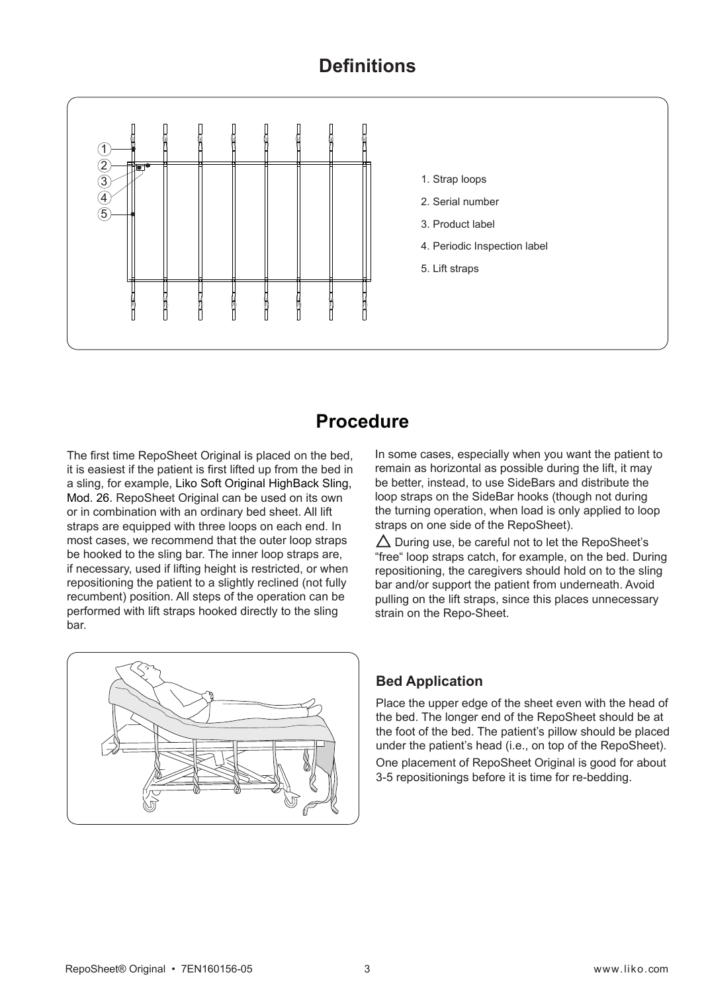### **Definitions**



### **Procedure**

The first time RepoSheet Original is placed on the bed, it is easiest if the patient is first lifted up from the bed in a sling, for example, Liko Soft Original HighBack Sling, Mod. 26. RepoSheet Original can be used on its own or in combination with an ordinary bed sheet. All lift straps are equipped with three loops on each end. In most cases, we recommend that the outer loop straps be hooked to the sling bar. The inner loop straps are, if necessary, used if lifting height is restricted, or when repositioning the patient to a slightly reclined (not fully recumbent) position. All steps of the operation can be performed with lift straps hooked directly to the sling bar.

In some cases, especially when you want the patient to remain as horizontal as possible during the lift, it may be better, instead, to use SideBars and distribute the loop straps on the SideBar hooks (though not during the turning operation, when load is only applied to loop straps on one side of the RepoSheet).

 $\triangle$  During use, be careful not to let the RepoSheet's "free" loop straps catch, for example, on the bed. During repositioning, the caregivers should hold on to the sling bar and/or support the patient from underneath. Avoid pulling on the lift straps, since this places unnecessary strain on the Repo-Sheet.



### **Bed Application**

Place the upper edge of the sheet even with the head of the bed. The longer end of the RepoSheet should be at the foot of the bed. The patient's pillow should be placed under the patient's head (i.e., on top of the RepoSheet). One placement of RepoSheet Original is good for about 3-5 repositionings before it is time for re-bedding.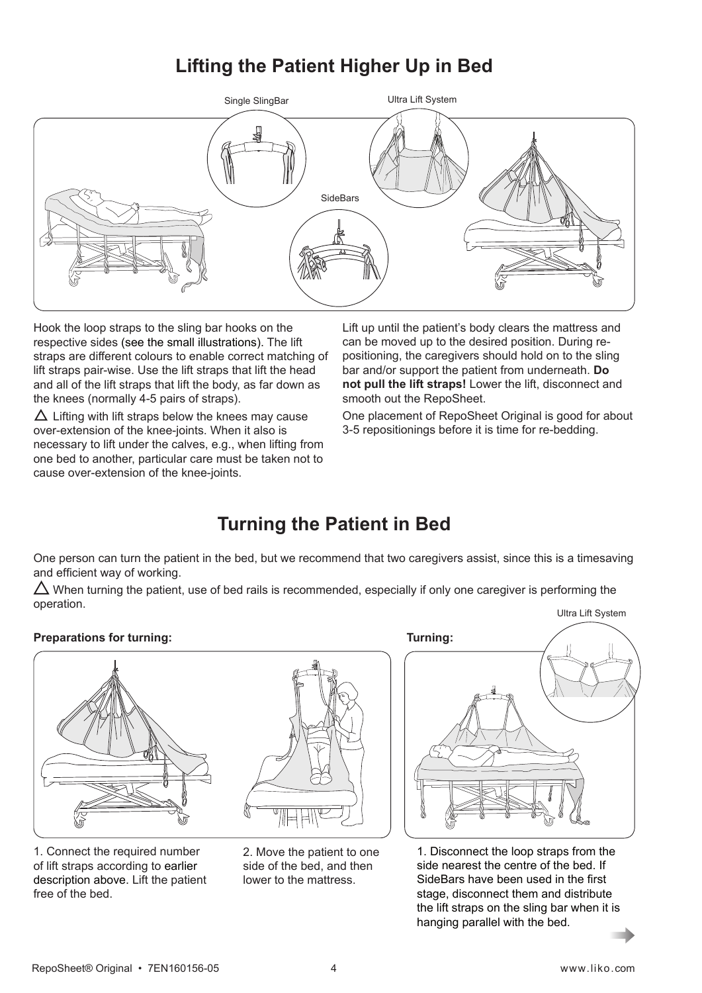# **Lifting the Patient Higher Up in Bed**



Hook the loop straps to the sling bar hooks on the respective sides (see the small illustrations). The lift straps are different colours to enable correct matching of lift straps pair-wise. Use the lift straps that lift the head and all of the lift straps that lift the body, as far down as the knees (normally 4-5 pairs of straps).

 $\Delta$  Lifting with lift straps below the knees may cause over-extension of the knee-joints. When it also is necessary to lift under the calves, e.g., when lifting from one bed to another, particular care must be taken not to cause over-extension of the knee-joints.

Lift up until the patient's body clears the mattress and can be moved up to the desired position. During repositioning, the caregivers should hold on to the sling bar and/or support the patient from underneath. **Do not pull the lift straps!** Lower the lift, disconnect and smooth out the RepoSheet.

One placement of RepoSheet Original is good for about 3-5 repositionings before it is time for re-bedding.

# **Turning the Patient in Bed**

One person can turn the patient in the bed, but we recommend that two caregivers assist, since this is a timesaving and efficient way of working.

 $\triangle$  When turning the patient, use of bed rails is recommended, especially if only one caregiver is performing the operation.

#### **Preparations for turning:** Turning:



1. Connect the required number of lift straps according to earlier description above. Lift the patient free of the bed.



2. Move the patient to one side of the bed, and then lower to the mattress.



1. Disconnect the loop straps from the side nearest the centre of the bed. If SideBars have been used in the first stage, disconnect them and distribute the lift straps on the sling bar when it is hanging parallel with the bed.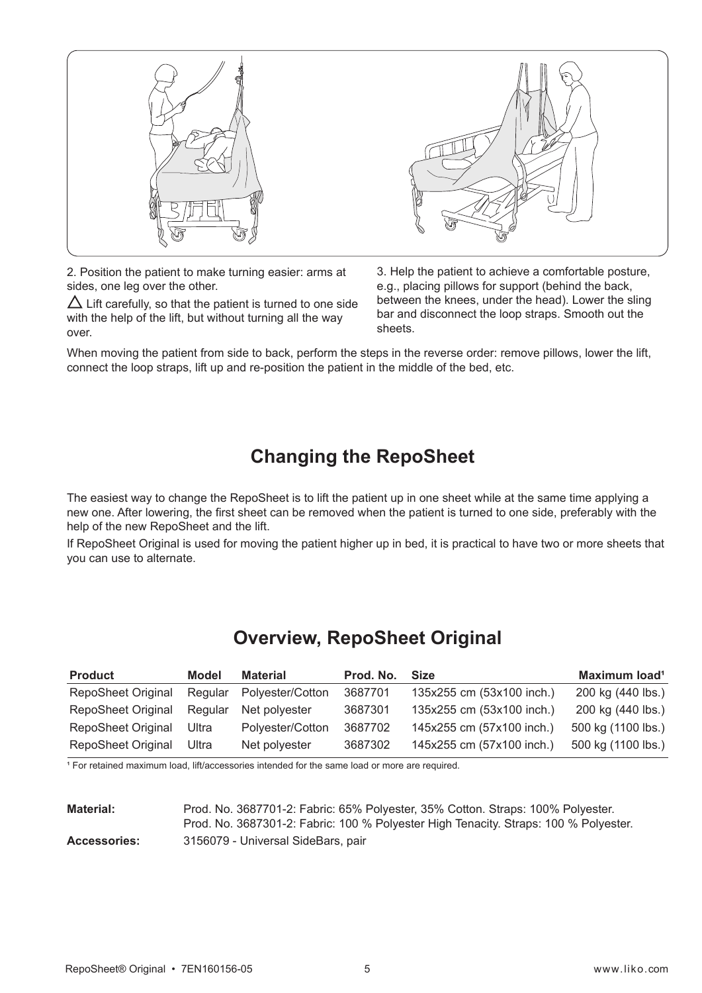

2. Position the patient to make turning easier: arms at sides, one leg over the other.

 $\Delta$  Lift carefully, so that the patient is turned to one side with the help of the lift, but without turning all the way over.

3. Help the patient to achieve a comfortable posture, e.g., placing pillows for support (behind the back, between the knees, under the head). Lower the sling bar and disconnect the loop straps. Smooth out the sheets.

When moving the patient from side to back, perform the steps in the reverse order: remove pillows, lower the lift, connect the loop straps, lift up and re-position the patient in the middle of the bed, etc.

# **Changing the RepoSheet**

The easiest way to change the RepoSheet is to lift the patient up in one sheet while at the same time applying a new one. After lowering, the first sheet can be removed when the patient is turned to one side, preferably with the help of the new RepoSheet and the lift.

If RepoSheet Original is used for moving the patient higher up in bed, it is practical to have two or more sheets that you can use to alternate.

# **Overview, RepoSheet Original**

| <b>Product</b>            | Model   | <b>Material</b>  | Prod. No. | <b>Size</b>               | Maximum load <sup>1</sup> |
|---------------------------|---------|------------------|-----------|---------------------------|---------------------------|
| <b>RepoSheet Original</b> | Regular | Polyester/Cotton | 3687701   | 135x255 cm (53x100 inch.) | 200 kg (440 lbs.)         |
| <b>RepoSheet Original</b> | Regular | Net polyester    | 3687301   | 135x255 cm (53x100 inch.) | 200 kg (440 lbs.)         |
| <b>RepoSheet Original</b> | Ultra   | Polyester/Cotton | 3687702   | 145x255 cm (57x100 inch.) | 500 kg (1100 lbs.)        |
| <b>RepoSheet Original</b> | Ultra   | Net polyester    | 3687302   | 145x255 cm (57x100 inch.) | 500 kg (1100 lbs.)        |

<sup>1</sup> For retained maximum load, lift/accessories intended for the same load or more are required.

| <b>Material:</b>    | Prod. No. 3687701-2: Fabric: 65% Polyester, 35% Cotton. Straps: 100% Polyester.      |
|---------------------|--------------------------------------------------------------------------------------|
|                     | Prod. No. 3687301-2: Fabric: 100 % Polyester High Tenacity. Straps: 100 % Polyester. |
| <b>Accessories:</b> | 3156079 - Universal SideBars, pair                                                   |